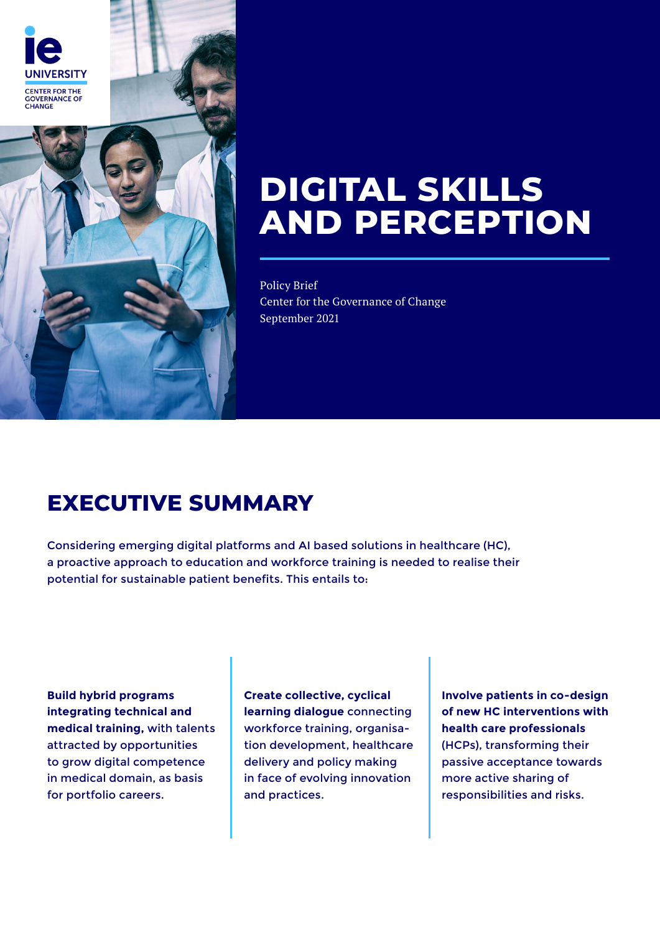

# **DIGITAL SKILLS AND PERCEPTION**

Policy Brief Center for the Governance of Change September 2021

## **EXECUTIVE SUMMARY**

Considering emerging digital platforms and AI based solutions in healthcare (HC), a proactive approach to education and workforce training is needed to realise their potential for sustainable patient benefits. This entails to:

**Build hybrid programs integrating technical and medical training,** with talents attracted by opportunities to grow digital competence in medical domain, as basis for portfolio careers.

**Create collective, cyclical learning dialogue** connecting workforce training, organisation development, healthcare delivery and policy making in face of evolving innovation and practices.

**Involve patients in co-design of new HC interventions with health care professionals** (HCPs), transforming their passive acceptance towards more active sharing of responsibilities and risks.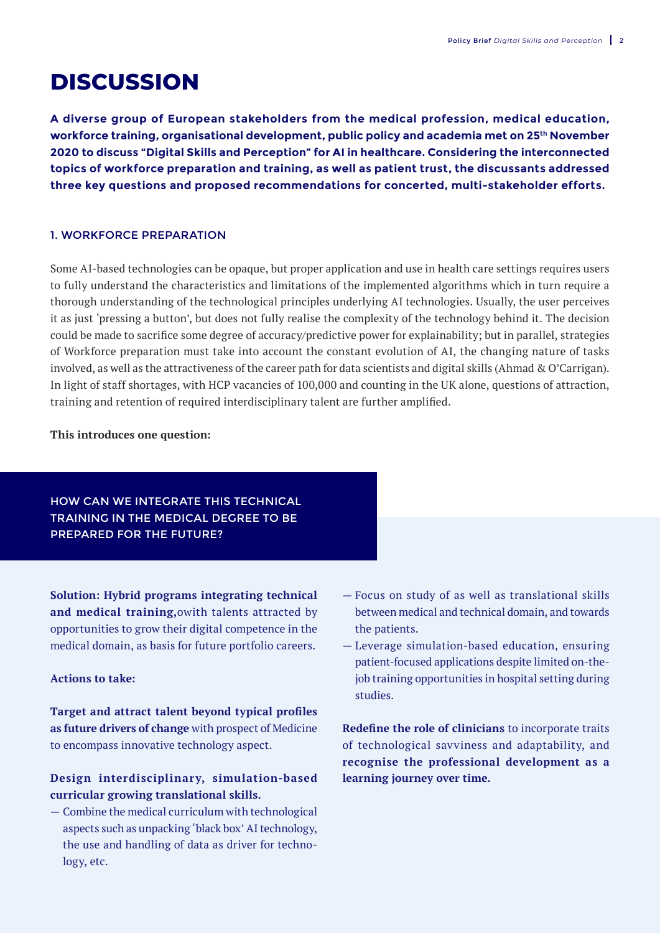### **DISCUSSION**

**A diverse group of European stakeholders from the medical profession, medical education, workforce training, organisational development, public policy and academia met on 25th November 2020 to discuss "Digital Skills and Perception" for AI in healthcare. Considering the interconnected topics of workforce preparation and training, as well as patient trust, the discussants addressed three key questions and proposed recommendations for concerted, multi-stakeholder efforts.**

#### 1. WORKFORCE PREPARATION

Some AI-based technologies can be opaque, but proper application and use in health care settings requires users to fully understand the characteristics and limitations of the implemented algorithms which in turn require a thorough understanding of the technological principles underlying AI technologies. Usually, the user perceives it as just 'pressing a button', but does not fully realise the complexity of the technology behind it. The decision could be made to sacrifice some degree of accuracy/predictive power for explainability; but in parallel, strategies of Workforce preparation must take into account the constant evolution of AI, the changing nature of tasks involved, as well as the attractiveness of the career path for data scientists and digital skills (Ahmad & O'Carrigan). In light of staff shortages, with HCP vacancies of 100,000 and counting in the UK alone, questions of attraction, training and retention of required interdisciplinary talent are further amplified.

**This introduces one question:**

#### HOW CAN WE INTEGRATE THIS TECHNICAL TRAINING IN THE MEDICAL DEGREE TO BE PREPARED FOR THE FUTURE?

**Solution: Hybrid programs integrating technical and medical training,**owith talents attracted by opportunities to grow their digital competence in the medical domain, as basis for future portfolio careers.

#### **Actions to take:**

**Target and attract talent beyond typical profiles as future drivers of change** with prospect of Medicine to encompass innovative technology aspect.

#### **Design interdisciplinary, simulation-based curricular growing translational skills.**

— Combine the medical curriculum with technological aspects such as unpacking 'black box' AI technology, the use and handling of data as driver for technology, etc.

- Focus on study of as well as translational skills between medical and technical domain, and towards the patients.
- Leverage simulation-based education, ensuring patient-focused applications despite limited on-thejob training opportunities in hospital setting during studies.

**Redefine the role of clinicians** to incorporate traits of technological savviness and adaptability, and **recognise the professional development as a learning journey over time.**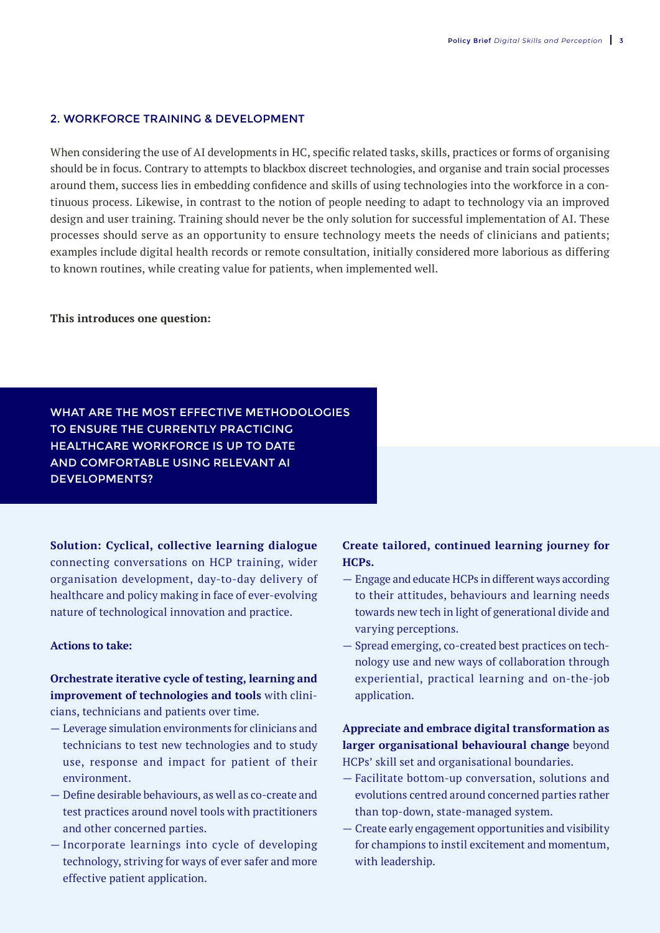#### 2. WORKFORCE TRAINING & DEVELOPMENT

When considering the use of AI developments in HC, specific related tasks, skills, practices or forms of organising should be in focus. Contrary to attempts to blackbox discreet technologies, and organise and train social processes around them, success lies in embedding confidence and skills of using technologies into the workforce in a continuous process. Likewise, in contrast to the notion of people needing to adapt to technology via an improved design and user training. Training should never be the only solution for successful implementation of AI. These processes should serve as an opportunity to ensure technology meets the needs of clinicians and patients; examples include digital health records or remote consultation, initially considered more laborious as differing to known routines, while creating value for patients, when implemented well.

**This introduces one question:**

WHAT ARE THE MOST EFFECTIVE METHODOLOGIES TO ENSURE THE CURRENTLY PRACTICING HEALTHCARE WORKFORCE IS UP TO DATE AND COMFORTABLE USING RELEVANT AI DEVELOPMENTS?

**Solution: Cyclical, collective learning dialogue** connecting conversations on HCP training, wider organisation development, day-to-day delivery of healthcare and policy making in face of ever-evolving nature of technological innovation and practice.

#### **Actions to take:**

**Orchestrate iterative cycle of testing, learning and improvement of technologies and tools** with clinicians, technicians and patients over time.

- Leverage simulation environments for clinicians and technicians to test new technologies and to study use, response and impact for patient of their environment.
- Define desirable behaviours, as well as co-create and test practices around novel tools with practitioners and other concerned parties.
- Incorporate learnings into cycle of developing technology, striving for ways of ever safer and more effective patient application.

#### **Create tailored, continued learning journey for HCPs.**

- Engage and educate HCPs in different ways according to their attitudes, behaviours and learning needs towards new tech in light of generational divide and varying perceptions.
- Spread emerging, co-created best practices on technology use and new ways of collaboration through experiential, practical learning and on-the-job application.

**Appreciate and embrace digital transformation as larger organisational behavioural change** beyond HCPs' skill set and organisational boundaries.

- Facilitate bottom-up conversation, solutions and evolutions centred around concerned parties rather than top-down, state-managed system.
- Create early engagement opportunities and visibility for champions to instil excitement and momentum, with leadership.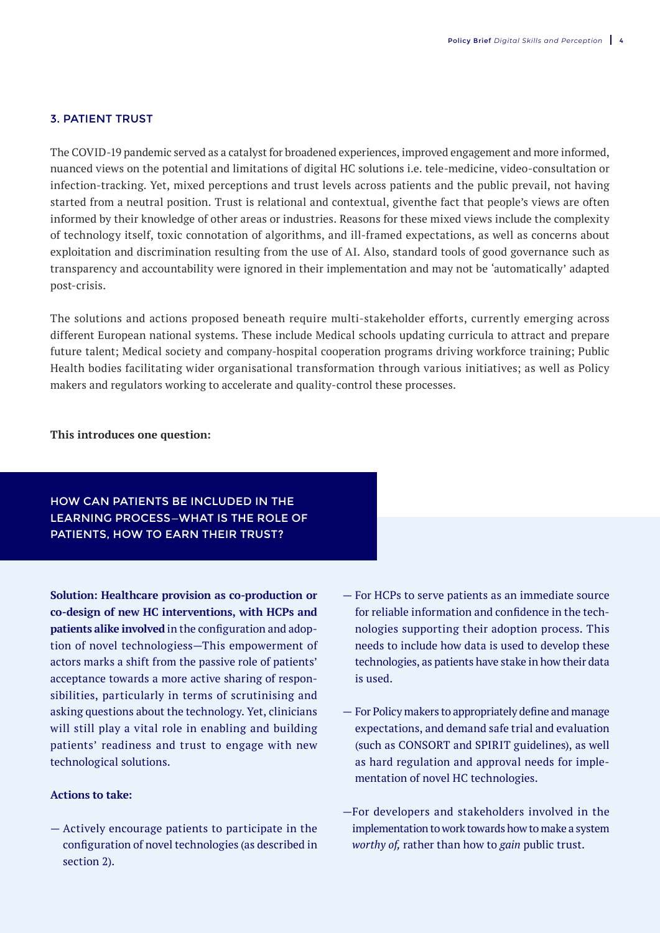#### 3. PATIENT TRUST

The COVID-19 pandemic served as a catalyst for broadened experiences, improved engagement and more informed, nuanced views on the potential and limitations of digital HC solutions i.e. tele-medicine, video-consultation or infection-tracking. Yet, mixed perceptions and trust levels across patients and the public prevail, not having started from a neutral position. Trust is relational and contextual, giventhe fact that people's views are often informed by their knowledge of other areas or industries. Reasons for these mixed views include the complexity of technology itself, toxic connotation of algorithms, and ill-framed expectations, as well as concerns about exploitation and discrimination resulting from the use of AI. Also, standard tools of good governance such as transparency and accountability were ignored in their implementation and may not be 'automatically' adapted post-crisis.

The solutions and actions proposed beneath require multi-stakeholder efforts, currently emerging across different European national systems. These include Medical schools updating curricula to attract and prepare future talent; Medical society and company-hospital cooperation programs driving workforce training; Public Health bodies facilitating wider organisational transformation through various initiatives; as well as Policy makers and regulators working to accelerate and quality-control these processes.

#### **This introduces one question:**

#### HOW CAN PATIENTS BE INCLUDED IN THE LEARNING PROCESS—WHAT IS THE ROLE OF PATIENTS, HOW TO EARN THEIR TRUST?

**Solution: Healthcare provision as co-production or co-design of new HC interventions, with HCPs and patients alike involved** in the configuration and adoption of novel technologiess—This empowerment of actors marks a shift from the passive role of patients' acceptance towards a more active sharing of responsibilities, particularly in terms of scrutinising and asking questions about the technology. Yet, clinicians will still play a vital role in enabling and building patients' readiness and trust to engage with new technological solutions.

#### **Actions to take:**

— Actively encourage patients to participate in the configuration of novel technologies (as described in section 2).

- For HCPs to serve patients as an immediate source for reliable information and confidence in the technologies supporting their adoption process. This needs to include how data is used to develop these technologies, as patients have stake in how their data is used.
- For Policy makers to appropriately define and manage expectations, and demand safe trial and evaluation (such as CONSORT and SPIRIT guidelines), as well as hard regulation and approval needs for implementation of novel HC technologies.
- —For developers and stakeholders involved in the implementation to work towards how to make a system *worthy of,* rather than how to *gain* public trust.